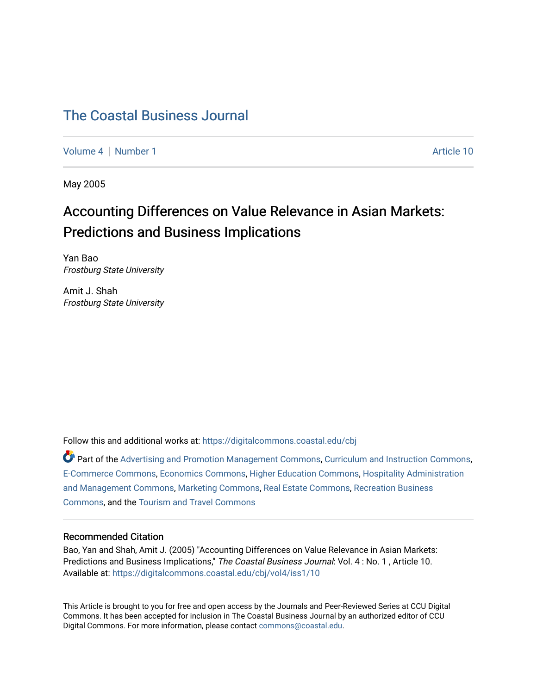# [The Coastal Business Journal](https://digitalcommons.coastal.edu/cbj)

[Volume 4](https://digitalcommons.coastal.edu/cbj/vol4) | [Number 1](https://digitalcommons.coastal.edu/cbj/vol4/iss1) Article 10

May 2005

# Accounting Differences on Value Relevance in Asian Markets: Predictions and Business Implications

Yan Bao Frostburg State University

Amit J. Shah Frostburg State University

Follow this and additional works at: [https://digitalcommons.coastal.edu/cbj](https://digitalcommons.coastal.edu/cbj?utm_source=digitalcommons.coastal.edu%2Fcbj%2Fvol4%2Fiss1%2F10&utm_medium=PDF&utm_campaign=PDFCoverPages) 

Part of the [Advertising and Promotion Management Commons,](http://network.bepress.com/hgg/discipline/626?utm_source=digitalcommons.coastal.edu%2Fcbj%2Fvol4%2Fiss1%2F10&utm_medium=PDF&utm_campaign=PDFCoverPages) [Curriculum and Instruction Commons,](http://network.bepress.com/hgg/discipline/786?utm_source=digitalcommons.coastal.edu%2Fcbj%2Fvol4%2Fiss1%2F10&utm_medium=PDF&utm_campaign=PDFCoverPages) [E-Commerce Commons,](http://network.bepress.com/hgg/discipline/624?utm_source=digitalcommons.coastal.edu%2Fcbj%2Fvol4%2Fiss1%2F10&utm_medium=PDF&utm_campaign=PDFCoverPages) [Economics Commons](http://network.bepress.com/hgg/discipline/340?utm_source=digitalcommons.coastal.edu%2Fcbj%2Fvol4%2Fiss1%2F10&utm_medium=PDF&utm_campaign=PDFCoverPages), [Higher Education Commons](http://network.bepress.com/hgg/discipline/1245?utm_source=digitalcommons.coastal.edu%2Fcbj%2Fvol4%2Fiss1%2F10&utm_medium=PDF&utm_campaign=PDFCoverPages), [Hospitality Administration](http://network.bepress.com/hgg/discipline/632?utm_source=digitalcommons.coastal.edu%2Fcbj%2Fvol4%2Fiss1%2F10&utm_medium=PDF&utm_campaign=PDFCoverPages) [and Management Commons,](http://network.bepress.com/hgg/discipline/632?utm_source=digitalcommons.coastal.edu%2Fcbj%2Fvol4%2Fiss1%2F10&utm_medium=PDF&utm_campaign=PDFCoverPages) [Marketing Commons](http://network.bepress.com/hgg/discipline/638?utm_source=digitalcommons.coastal.edu%2Fcbj%2Fvol4%2Fiss1%2F10&utm_medium=PDF&utm_campaign=PDFCoverPages), [Real Estate Commons](http://network.bepress.com/hgg/discipline/641?utm_source=digitalcommons.coastal.edu%2Fcbj%2Fvol4%2Fiss1%2F10&utm_medium=PDF&utm_campaign=PDFCoverPages), [Recreation Business](http://network.bepress.com/hgg/discipline/1083?utm_source=digitalcommons.coastal.edu%2Fcbj%2Fvol4%2Fiss1%2F10&utm_medium=PDF&utm_campaign=PDFCoverPages) [Commons](http://network.bepress.com/hgg/discipline/1083?utm_source=digitalcommons.coastal.edu%2Fcbj%2Fvol4%2Fiss1%2F10&utm_medium=PDF&utm_campaign=PDFCoverPages), and the [Tourism and Travel Commons](http://network.bepress.com/hgg/discipline/1082?utm_source=digitalcommons.coastal.edu%2Fcbj%2Fvol4%2Fiss1%2F10&utm_medium=PDF&utm_campaign=PDFCoverPages)

## Recommended Citation

Bao, Yan and Shah, Amit J. (2005) "Accounting Differences on Value Relevance in Asian Markets: Predictions and Business Implications," The Coastal Business Journal: Vol. 4 : No. 1 , Article 10. Available at: [https://digitalcommons.coastal.edu/cbj/vol4/iss1/10](https://digitalcommons.coastal.edu/cbj/vol4/iss1/10?utm_source=digitalcommons.coastal.edu%2Fcbj%2Fvol4%2Fiss1%2F10&utm_medium=PDF&utm_campaign=PDFCoverPages) 

This Article is brought to you for free and open access by the Journals and Peer-Reviewed Series at CCU Digital Commons. It has been accepted for inclusion in The Coastal Business Journal by an authorized editor of CCU Digital Commons. For more information, please contact [commons@coastal.edu](mailto:commons@coastal.edu).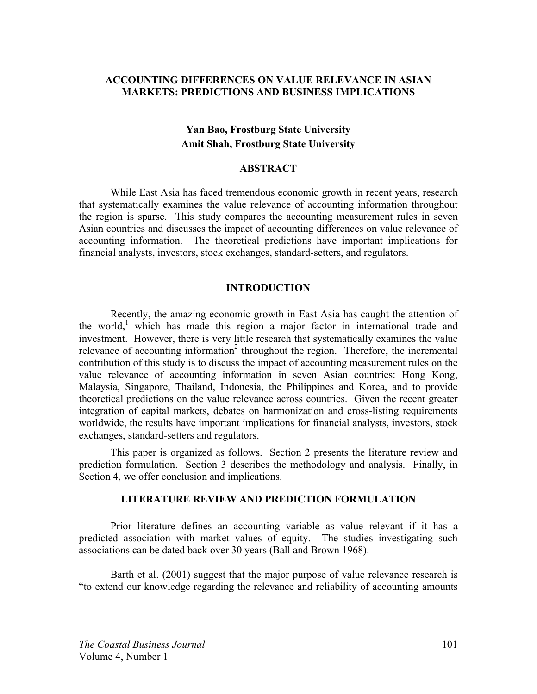# **ACCOUNTING DIFFERENCES ON VALUE RELEVANCE IN ASIAN MARKETS: PREDICTIONS AND BUSINESS IMPLICATIONS**

# **Yan Bao, Frostburg State University Amit Shah, Frostburg State University**

### **ABSTRACT**

 While East Asia has faced tremendous economic growth in recent years, research that systematically examines the value relevance of accounting information throughout the region is sparse. This study compares the accounting measurement rules in seven Asian countries and discusses the impact of accounting differences on value relevance of accounting information. The theoretical predictions have important implications for financial analysts, investors, stock exchanges, standard-setters, and regulators.

#### **INTRODUCTION**

 Recently, the amazing economic growth in East Asia has caught the attention of the world,<sup>1</sup> which has made this region a major factor in international trade and investment. However, there is very little research that systematically examines the value relevance of accounting information<sup>2</sup> throughout the region. Therefore, the incremental contribution of this study is to discuss the impact of accounting measurement rules on the value relevance of accounting information in seven Asian countries: Hong Kong, Malaysia, Singapore, Thailand, Indonesia, the Philippines and Korea, and to provide theoretical predictions on the value relevance across countries. Given the recent greater integration of capital markets, debates on harmonization and cross-listing requirements worldwide, the results have important implications for financial analysts, investors, stock exchanges, standard-setters and regulators.

This paper is organized as follows. Section 2 presents the literature review and prediction formulation. Section 3 describes the methodology and analysis. Finally, in Section 4, we offer conclusion and implications.

# **LITERATURE REVIEW AND PREDICTION FORMULATION**

 Prior literature defines an accounting variable as value relevant if it has a predicted association with market values of equity. The studies investigating such associations can be dated back over 30 years (Ball and Brown 1968).

 Barth et al. (2001) suggest that the major purpose of value relevance research is "to extend our knowledge regarding the relevance and reliability of accounting amounts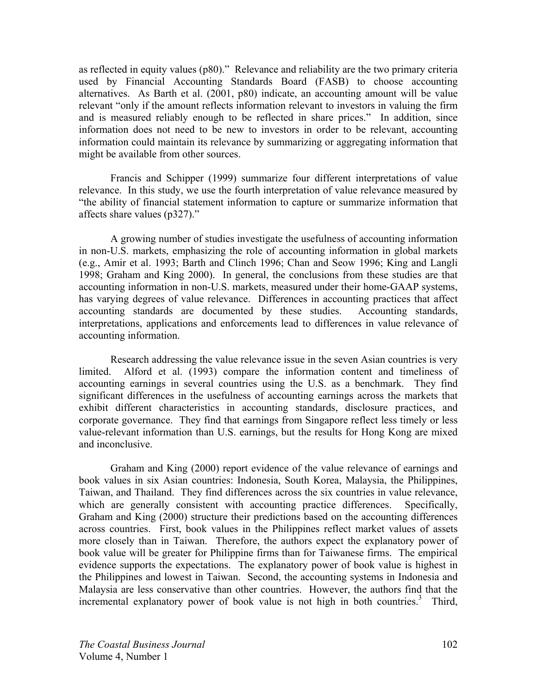as reflected in equity values (p80)." Relevance and reliability are the two primary criteria used by Financial Accounting Standards Board (FASB) to choose accounting alternatives. As Barth et al. (2001, p80) indicate, an accounting amount will be value relevant "only if the amount reflects information relevant to investors in valuing the firm and is measured reliably enough to be reflected in share prices." In addition, since information does not need to be new to investors in order to be relevant, accounting information could maintain its relevance by summarizing or aggregating information that might be available from other sources.

 Francis and Schipper (1999) summarize four different interpretations of value relevance. In this study, we use the fourth interpretation of value relevance measured by "the ability of financial statement information to capture or summarize information that affects share values (p327)."

 A growing number of studies investigate the usefulness of accounting information in non-U.S. markets, emphasizing the role of accounting information in global markets (e.g., Amir et al. 1993; Barth and Clinch 1996; Chan and Seow 1996; King and Langli 1998; Graham and King 2000). In general, the conclusions from these studies are that accounting information in non-U.S. markets, measured under their home-GAAP systems, has varying degrees of value relevance. Differences in accounting practices that affect accounting standards are documented by these studies. Accounting standards, interpretations, applications and enforcements lead to differences in value relevance of accounting information.

 Research addressing the value relevance issue in the seven Asian countries is very limited. Alford et al. (1993) compare the information content and timeliness of accounting earnings in several countries using the U.S. as a benchmark. They find significant differences in the usefulness of accounting earnings across the markets that exhibit different characteristics in accounting standards, disclosure practices, and corporate governance. They find that earnings from Singapore reflect less timely or less value-relevant information than U.S. earnings, but the results for Hong Kong are mixed and inconclusive.

 Graham and King (2000) report evidence of the value relevance of earnings and book values in six Asian countries: Indonesia, South Korea, Malaysia, the Philippines, Taiwan, and Thailand. They find differences across the six countries in value relevance, which are generally consistent with accounting practice differences. Specifically, Graham and King (2000) structure their predictions based on the accounting differences across countries. First, book values in the Philippines reflect market values of assets more closely than in Taiwan. Therefore, the authors expect the explanatory power of book value will be greater for Philippine firms than for Taiwanese firms. The empirical evidence supports the expectations. The explanatory power of book value is highest in the Philippines and lowest in Taiwan. Second, the accounting systems in Indonesia and Malaysia are less conservative than other countries. However, the authors find that the incremental explanatory power of book value is not high in both countries.<sup>3</sup> Third,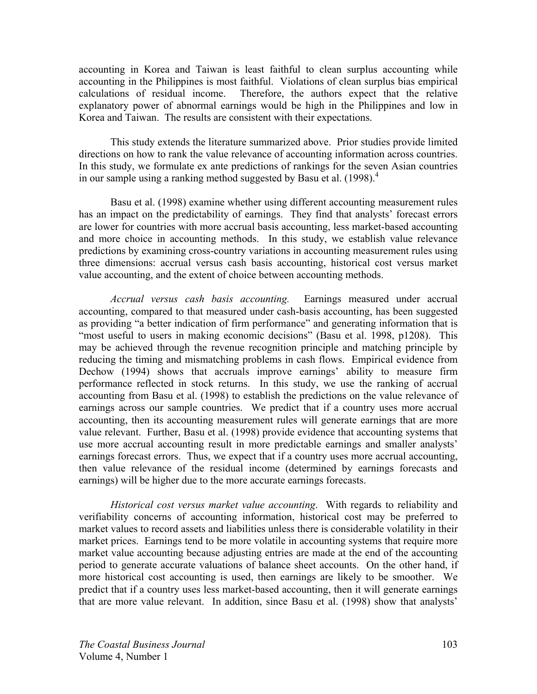accounting in Korea and Taiwan is least faithful to clean surplus accounting while accounting in the Philippines is most faithful. Violations of clean surplus bias empirical calculations of residual income. Therefore, the authors expect that the relative explanatory power of abnormal earnings would be high in the Philippines and low in Korea and Taiwan. The results are consistent with their expectations.

 This study extends the literature summarized above. Prior studies provide limited directions on how to rank the value relevance of accounting information across countries. In this study, we formulate ex ante predictions of rankings for the seven Asian countries in our sample using a ranking method suggested by Basu et al.  $(1998)^4$ 

Basu et al. (1998) examine whether using different accounting measurement rules has an impact on the predictability of earnings. They find that analysts' forecast errors are lower for countries with more accrual basis accounting, less market-based accounting and more choice in accounting methods. In this study, we establish value relevance predictions by examining cross-country variations in accounting measurement rules using three dimensions: accrual versus cash basis accounting, historical cost versus market value accounting, and the extent of choice between accounting methods.

*Accrual versus cash basis accounting.* Earnings measured under accrual accounting, compared to that measured under cash-basis accounting, has been suggested as providing "a better indication of firm performance" and generating information that is "most useful to users in making economic decisions" (Basu et al. 1998, p1208). This may be achieved through the revenue recognition principle and matching principle by reducing the timing and mismatching problems in cash flows. Empirical evidence from Dechow (1994) shows that accruals improve earnings' ability to measure firm performance reflected in stock returns. In this study, we use the ranking of accrual accounting from Basu et al. (1998) to establish the predictions on the value relevance of earnings across our sample countries. We predict that if a country uses more accrual accounting, then its accounting measurement rules will generate earnings that are more value relevant. Further, Basu et al. (1998) provide evidence that accounting systems that use more accrual accounting result in more predictable earnings and smaller analysts' earnings forecast errors. Thus, we expect that if a country uses more accrual accounting, then value relevance of the residual income (determined by earnings forecasts and earnings) will be higher due to the more accurate earnings forecasts.

*Historical cost versus market value accounting*. With regards to reliability and verifiability concerns of accounting information, historical cost may be preferred to market values to record assets and liabilities unless there is considerable volatility in their market prices. Earnings tend to be more volatile in accounting systems that require more market value accounting because adjusting entries are made at the end of the accounting period to generate accurate valuations of balance sheet accounts. On the other hand, if more historical cost accounting is used, then earnings are likely to be smoother. We predict that if a country uses less market-based accounting, then it will generate earnings that are more value relevant. In addition, since Basu et al. (1998) show that analysts'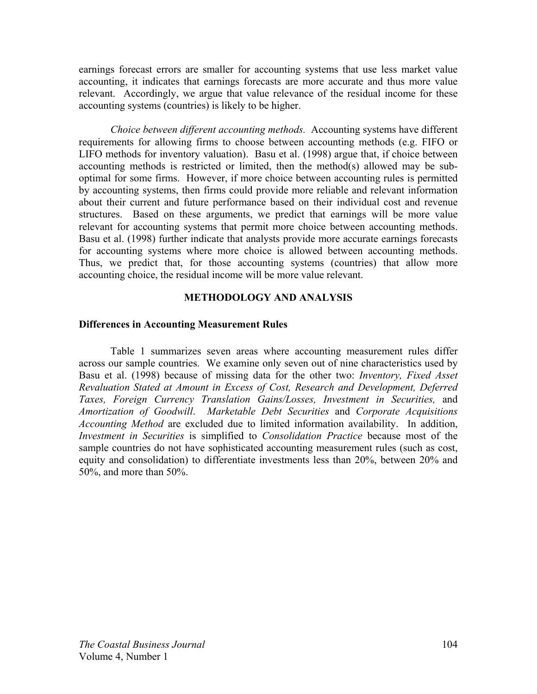earnings forecast errors are smaller for accounting systems that use less market value accounting, it indicates that earnings forecasts are more accurate and thus more value relevant. Accordingly, we argue that value relevance of the residual income for these accounting systems (countries) is likely to be higher.

*Choice between different accounting methods.* Accounting systems have different requirements for allowing firms to choose between accounting methods (e.g. FIFO or LIFO methods for inventory valuation). Basu et al. (1998) argue that, if choice between accounting methods is restricted or limited, then the method(s) allowed may be suboptimal for some firms. However, if more choice between accounting rules is permitted by accounting systems, then firms could provide more reliable and relevant information about their current and future performance based on their individual cost and revenue structures. Based on these arguments, we predict that earnings will be more value relevant for accounting systems that permit more choice between accounting methods. Basu et al. (1998) further indicate that analysts provide more accurate earnings forecasts for accounting systems where more choice is allowed between accounting methods. Thus, we predict that, for those accounting systems (countries) that allow more accounting choice, the residual income will be more value relevant.

# **METHODOLOGY AND ANALYSIS**

# **Differences in Accounting Measurement Rules**

 Table 1 summarizes seven areas where accounting measurement rules differ across our sample countries. We examine only seven out of nine characteristics used by Basu et al. (1998) because of missing data for the other two: *Inventory, Fixed Asset Revaluation Stated at Amount in Excess of Cost, Research and Development, Deferred Taxes, Foreign Currency Translation Gains/Losses, Investment in Securities,* and *Amortization of Goodwill*. *Marketable Debt Securities* and *Corporate Acquisitions Accounting Method* are excluded due to limited information availability. In addition, *Investment in Securities* is simplified to *Consolidation Practice* because most of the sample countries do not have sophisticated accounting measurement rules (such as cost, equity and consolidation) to differentiate investments less than 20%, between 20% and 50%, and more than 50%.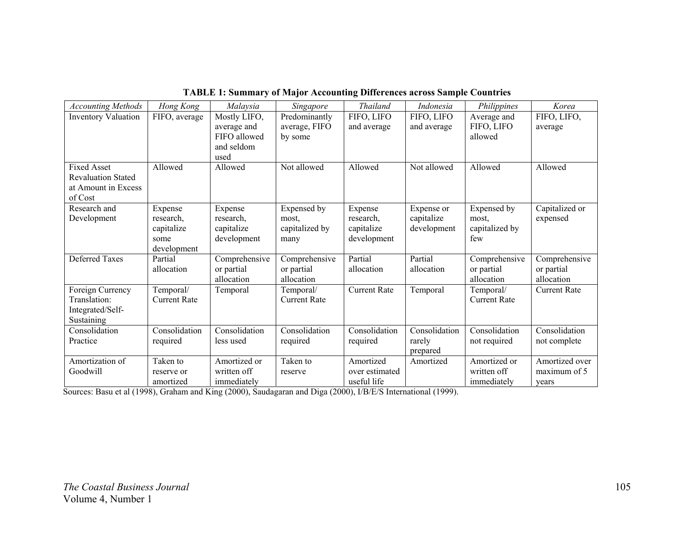| Predominantly<br>FIFO, LIFO<br>FIFO, LIFO,<br><b>Inventory Valuation</b><br>Mostly LIFO,<br>FIFO, LIFO<br>FIFO, average<br>Average and<br>average, FIFO<br>FIFO, LIFO<br>and average<br>average and<br>and average<br>average<br>FIFO allowed<br>allowed<br>by some<br>and seldom<br>used<br><b>Fixed Asset</b><br>Not allowed<br>Not allowed<br>Allowed<br>Allowed<br>Allowed<br>Allowed<br>Allowed<br><b>Revaluation Stated</b><br>at Amount in Excess<br>of Cost | <b>Accounting Methods</b> | Hong Kong | Malaysia | Singapore | <b>Thailand</b> | Indonesia | Philippines | Korea          |
|---------------------------------------------------------------------------------------------------------------------------------------------------------------------------------------------------------------------------------------------------------------------------------------------------------------------------------------------------------------------------------------------------------------------------------------------------------------------|---------------------------|-----------|----------|-----------|-----------------|-----------|-------------|----------------|
|                                                                                                                                                                                                                                                                                                                                                                                                                                                                     |                           |           |          |           |                 |           |             |                |
|                                                                                                                                                                                                                                                                                                                                                                                                                                                                     |                           |           |          |           |                 |           |             |                |
|                                                                                                                                                                                                                                                                                                                                                                                                                                                                     |                           |           |          |           |                 |           |             |                |
|                                                                                                                                                                                                                                                                                                                                                                                                                                                                     |                           |           |          |           |                 |           |             |                |
|                                                                                                                                                                                                                                                                                                                                                                                                                                                                     |                           |           |          |           |                 |           |             |                |
|                                                                                                                                                                                                                                                                                                                                                                                                                                                                     |                           |           |          |           |                 |           |             |                |
|                                                                                                                                                                                                                                                                                                                                                                                                                                                                     |                           |           |          |           |                 |           |             |                |
|                                                                                                                                                                                                                                                                                                                                                                                                                                                                     |                           |           |          |           |                 |           |             |                |
|                                                                                                                                                                                                                                                                                                                                                                                                                                                                     |                           |           |          |           |                 |           |             |                |
| Expensed by<br>Capitalized or<br>Research and<br>Expensed by<br>Expense<br>Expense<br>Expense or<br>Expense                                                                                                                                                                                                                                                                                                                                                         |                           |           |          |           |                 |           |             |                |
| Development<br>research,<br>research,<br>capitalize<br>research,<br>expensed<br>most.<br>most.                                                                                                                                                                                                                                                                                                                                                                      |                           |           |          |           |                 |           |             |                |
| capitalized by<br>development<br>capitalized by<br>capitalize<br>capitalize<br>capitalize                                                                                                                                                                                                                                                                                                                                                                           |                           |           |          |           |                 |           |             |                |
| development<br>development<br>few<br>some<br>many                                                                                                                                                                                                                                                                                                                                                                                                                   |                           |           |          |           |                 |           |             |                |
| development                                                                                                                                                                                                                                                                                                                                                                                                                                                         |                           |           |          |           |                 |           |             |                |
| <b>Deferred Taxes</b><br>Partial<br>Comprehensive<br>Comprehensive<br>Comprehensive<br>Partial<br>Partial                                                                                                                                                                                                                                                                                                                                                           |                           |           |          |           |                 |           |             | Comprehensive  |
| or partial<br>or partial<br>allocation<br>allocation<br>allocation<br>or partial<br>or partial                                                                                                                                                                                                                                                                                                                                                                      |                           |           |          |           |                 |           |             |                |
| allocation<br>allocation<br>allocation<br>allocation                                                                                                                                                                                                                                                                                                                                                                                                                |                           |           |          |           |                 |           |             |                |
| Foreign Currency<br>Temporal/<br>Temporal/<br><b>Current Rate</b><br>Temporal<br>Temporal/<br><b>Current Rate</b><br>Temporal                                                                                                                                                                                                                                                                                                                                       |                           |           |          |           |                 |           |             |                |
| <b>Current Rate</b><br><b>Current Rate</b><br>Translation:<br><b>Current Rate</b>                                                                                                                                                                                                                                                                                                                                                                                   |                           |           |          |           |                 |           |             |                |
| Integrated/Self-                                                                                                                                                                                                                                                                                                                                                                                                                                                    |                           |           |          |           |                 |           |             |                |
| Sustaining<br>Consolidation<br>Consolidation<br>Consolidation<br>Consolidation<br>Consolidation<br>Consolidation<br>Consolidation<br>Consolidation                                                                                                                                                                                                                                                                                                                  |                           |           |          |           |                 |           |             |                |
| Practice<br>less used                                                                                                                                                                                                                                                                                                                                                                                                                                               |                           |           |          |           |                 |           |             |                |
| rarely<br>required<br>required<br>not required<br>not complete<br>required<br>prepared                                                                                                                                                                                                                                                                                                                                                                              |                           |           |          |           |                 |           |             |                |
| Amortization of<br>Amortized or<br>Taken to<br>Amortized or<br>Taken to<br>Amortized<br>Amortized                                                                                                                                                                                                                                                                                                                                                                   |                           |           |          |           |                 |           |             | Amortized over |
| written off<br>Goodwill<br>written off<br>over estimated<br>maximum of 5<br>reserve or<br>reserve                                                                                                                                                                                                                                                                                                                                                                   |                           |           |          |           |                 |           |             |                |
| immediately<br>useful life<br>immediately<br>amortized<br>vears                                                                                                                                                                                                                                                                                                                                                                                                     |                           |           |          |           |                 |           |             |                |

**TABLE 1: Summary of Major Accounting Differences across Sample Countries** 

Sources: Basu et al (1998), Graham and King (2000), Saudagaran and Diga (2000), I/B/E/S International (1999).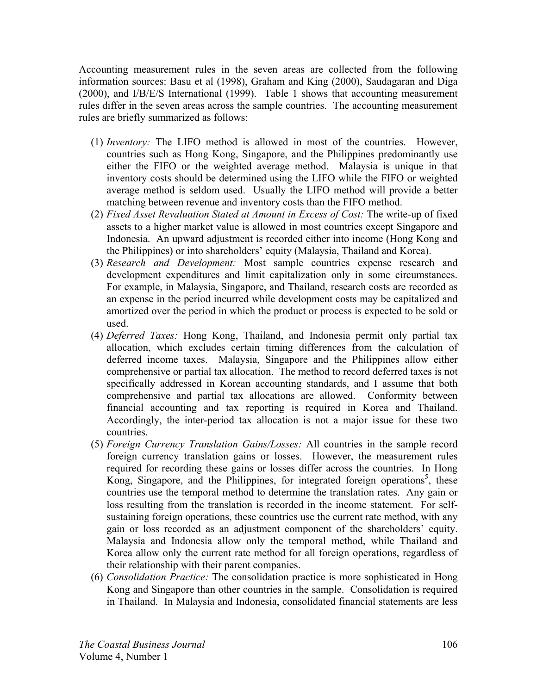Accounting measurement rules in the seven areas are collected from the following information sources: Basu et al (1998), Graham and King (2000), Saudagaran and Diga (2000), and I/B/E/S International (1999). Table 1 shows that accounting measurement rules differ in the seven areas across the sample countries. The accounting measurement rules are briefly summarized as follows:

- (1) *Inventory:* The LIFO method is allowed in most of the countries. However, countries such as Hong Kong, Singapore, and the Philippines predominantly use either the FIFO or the weighted average method. Malaysia is unique in that inventory costs should be determined using the LIFO while the FIFO or weighted average method is seldom used. Usually the LIFO method will provide a better matching between revenue and inventory costs than the FIFO method.
- (2) *Fixed Asset Revaluation Stated at Amount in Excess of Cost:* The write-up of fixed assets to a higher market value is allowed in most countries except Singapore and Indonesia. An upward adjustment is recorded either into income (Hong Kong and the Philippines) or into shareholders' equity (Malaysia, Thailand and Korea).
- (3) *Research and Development:* Most sample countries expense research and development expenditures and limit capitalization only in some circumstances. For example, in Malaysia, Singapore, and Thailand, research costs are recorded as an expense in the period incurred while development costs may be capitalized and amortized over the period in which the product or process is expected to be sold or used.
- (4) *Deferred Taxes:* Hong Kong, Thailand, and Indonesia permit only partial tax allocation, which excludes certain timing differences from the calculation of deferred income taxes. Malaysia, Singapore and the Philippines allow either comprehensive or partial tax allocation. The method to record deferred taxes is not specifically addressed in Korean accounting standards, and I assume that both comprehensive and partial tax allocations are allowed. Conformity between financial accounting and tax reporting is required in Korea and Thailand. Accordingly, the inter-period tax allocation is not a major issue for these two countries.
- (5) *Foreign Currency Translation Gains/Losses:* All countries in the sample record foreign currency translation gains or losses. However, the measurement rules required for recording these gains or losses differ across the countries. In Hong Kong, Singapore, and the Philippines, for integrated foreign operations<sup>5</sup>, these countries use the temporal method to determine the translation rates. Any gain or loss resulting from the translation is recorded in the income statement. For selfsustaining foreign operations, these countries use the current rate method, with any gain or loss recorded as an adjustment component of the shareholders' equity. Malaysia and Indonesia allow only the temporal method, while Thailand and Korea allow only the current rate method for all foreign operations, regardless of their relationship with their parent companies.
- (6) *Consolidation Practice:* The consolidation practice is more sophisticated in Hong Kong and Singapore than other countries in the sample. Consolidation is required in Thailand. In Malaysia and Indonesia, consolidated financial statements are less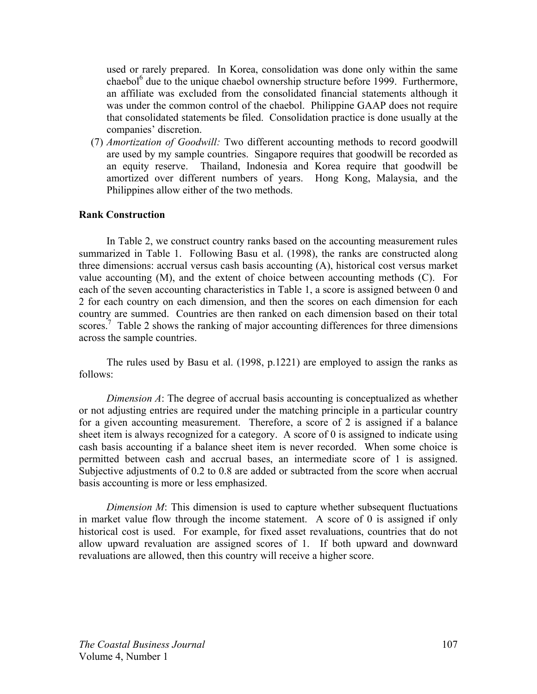used or rarely prepared. In Korea, consolidation was done only within the same chaebol<sup>6</sup> due to the unique chaebol ownership structure before 1999. Furthermore, an affiliate was excluded from the consolidated financial statements although it was under the common control of the chaebol. Philippine GAAP does not require that consolidated statements be filed. Consolidation practice is done usually at the companies' discretion.

(7) *Amortization of Goodwill:* Two different accounting methods to record goodwill are used by my sample countries. Singapore requires that goodwill be recorded as an equity reserve. Thailand, Indonesia and Korea require that goodwill be amortized over different numbers of years. Hong Kong, Malaysia, and the Philippines allow either of the two methods.

# **Rank Construction**

 In Table 2, we construct country ranks based on the accounting measurement rules summarized in Table 1. Following Basu et al. (1998), the ranks are constructed along three dimensions: accrual versus cash basis accounting (A), historical cost versus market value accounting (M), and the extent of choice between accounting methods (C). For each of the seven accounting characteristics in Table 1, a score is assigned between 0 and 2 for each country on each dimension, and then the scores on each dimension for each country are summed. Countries are then ranked on each dimension based on their total scores.<sup>7</sup> Table 2 shows the ranking of major accounting differences for three dimensions across the sample countries.

The rules used by Basu et al. (1998, p.1221) are employed to assign the ranks as follows:

*Dimension A*: The degree of accrual basis accounting is conceptualized as whether or not adjusting entries are required under the matching principle in a particular country for a given accounting measurement. Therefore, a score of 2 is assigned if a balance sheet item is always recognized for a category. A score of 0 is assigned to indicate using cash basis accounting if a balance sheet item is never recorded. When some choice is permitted between cash and accrual bases, an intermediate score of 1 is assigned. Subjective adjustments of 0.2 to 0.8 are added or subtracted from the score when accrual basis accounting is more or less emphasized.

*Dimension M*: This dimension is used to capture whether subsequent fluctuations in market value flow through the income statement. A score of 0 is assigned if only historical cost is used. For example, for fixed asset revaluations, countries that do not allow upward revaluation are assigned scores of 1. If both upward and downward revaluations are allowed, then this country will receive a higher score.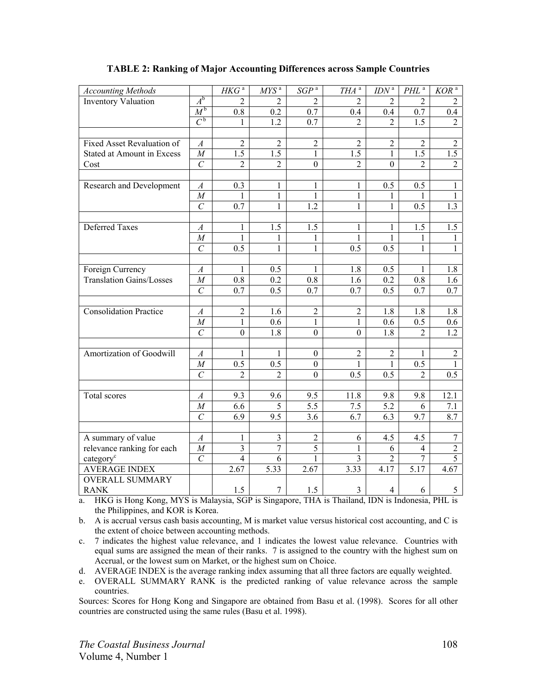| <b>Accounting Methods</b>         |                    | $HK\overline{G}^a$ | $MYS^a$          | $SGP^a$          | $THA^a$          | $IDN^a$          | $PHL$ <sup>a</sup> | $KOR^{\overline{a}}$ |
|-----------------------------------|--------------------|--------------------|------------------|------------------|------------------|------------------|--------------------|----------------------|
| <b>Inventory Valuation</b>        | $A^{\rm b}$        | 2                  | 2                | 2                | 2                | $\overline{2}$   | $\mathfrak{D}$     | 2                    |
|                                   | $M^{\mathfrak{b}}$ | 0.8                | 0.2              | 0.7              | 0.4              | 0.4              | 0.7                | 0.4                  |
|                                   | $C^{\mathfrak{b}}$ | 1                  | 1.2              | 0.7              | 2                | $\overline{2}$   | $1.5$              | $\overline{2}$       |
|                                   |                    |                    |                  |                  |                  |                  |                    |                      |
| Fixed Asset Revaluation of        | $\boldsymbol{A}$   | $\overline{2}$     | $\overline{2}$   | $\overline{2}$   | $\overline{2}$   | $\overline{2}$   | $\overline{2}$     | $\overline{2}$       |
| <b>Stated at Amount in Excess</b> | $\cal M$           | $\overline{1.5}$   | $\overline{1.5}$ | $\mathbf{1}$     | 1.5              | $\mathbf{1}$     | $\overline{1.5}$   | $\overline{1.5}$     |
| Cost                              | $\overline{C}$     | $\overline{2}$     | $\overline{2}$   | $\mathbf{0}$     | $\overline{2}$   | $\mathbf{0}$     | $\overline{2}$     | $\overline{2}$       |
|                                   |                    |                    |                  |                  |                  |                  |                    |                      |
| Research and Development          | $\boldsymbol{A}$   | 0.3                | 1                | $\mathbf{1}$     | $\mathbf{1}$     | 0.5              | 0.5                | $\mathbf{1}$         |
|                                   | $\cal M$           | $\mathbf{1}$       | 1                | $\mathbf{1}$     | $\mathbf{1}$     | 1                | 1                  | $\mathbf{1}$         |
|                                   | $\overline{C}$     | 0.7                | $\mathbf{1}$     | 1.2              | $\mathbf{1}$     | 1                | 0.5                | 1.3                  |
|                                   |                    |                    |                  |                  |                  |                  |                    |                      |
| <b>Deferred Taxes</b>             | A                  | 1                  | 1.5              | 1.5              | $\mathbf{1}$     | 1                | 1.5                | 1.5                  |
|                                   | $\cal M$           | 1                  | 1                | 1                | $\mathbf{1}$     | $\mathbf{1}$     | 1                  | $\mathbf{1}$         |
|                                   | $\overline{C}$     | 0.5                | 1                | $\mathbf{1}$     | 0.5              | 0.5              | 1                  | $\mathbf{1}$         |
|                                   |                    |                    |                  |                  |                  |                  |                    |                      |
| Foreign Currency                  | $\boldsymbol{A}$   | 1                  | 0.5              | $\mathbf{1}$     | 1.8              | 0.5              | 1                  | 1.8                  |
| <b>Translation Gains/Losses</b>   | $\cal M$           | 0.8                | 0.2              | 0.8              | 1.6              | 0.2              | 0.8                | 1.6                  |
|                                   | $\overline{C}$     | 0.7                | $\overline{0.5}$ | 0.7              | 0.7              | $\overline{0.5}$ | 0.7                | 0.7                  |
|                                   |                    |                    |                  |                  |                  |                  |                    |                      |
| <b>Consolidation Practice</b>     | $\boldsymbol{A}$   | $\sqrt{2}$         | 1.6              | $\boldsymbol{2}$ | $\boldsymbol{2}$ | 1.8              | 1.8                | 1.8                  |
|                                   | $\cal M$           | $\mathbf{1}$       | 0.6              | 1                | 1                | 0.6              | 0.5                | 0.6                  |
|                                   | $\overline{C}$     | $\boldsymbol{0}$   | 1.8              | $\boldsymbol{0}$ | $\boldsymbol{0}$ | 1.8              | $\overline{2}$     | 1.2                  |
|                                   |                    |                    |                  |                  |                  |                  |                    |                      |
| Amortization of Goodwill          | $\boldsymbol{A}$   | 1                  | 1                | $\boldsymbol{0}$ | $\sqrt{2}$       | $\overline{2}$   | 1                  | $\overline{c}$       |
|                                   | $\cal M$           | 0.5                | 0.5              | $\boldsymbol{0}$ | $\mathbf{1}$     | $\mathbf{1}$     | 0.5                | $\mathbf{1}$         |
|                                   | $\overline{C}$     | $\overline{2}$     | $\overline{2}$   | $\overline{0}$   | 0.5              | 0.5              | $\overline{2}$     | 0.5                  |
|                                   |                    |                    |                  |                  |                  |                  |                    |                      |
| Total scores                      | $\boldsymbol{A}$   | 9.3                | 9.6              | 9.5              | 11.8             | 9.8              | 9.8                | 12.1                 |
|                                   | $\cal M$           | 6.6                | 5                | $\overline{5.5}$ | 7.5              | $\overline{5.2}$ | 6                  | 7.1                  |
|                                   | $\mathcal{C}_{0}$  | 6.9                | 9.5              | 3.6              | 6.7              | 6.3              | 9.7                | 8.7                  |
|                                   |                    |                    |                  |                  |                  |                  |                    |                      |
| A summary of value                | $\mathcal{A}$      | 1                  | $\overline{3}$   | $\overline{2}$   | 6                | 4.5              | 4.5                | $\overline{7}$       |
| relevance ranking for each        | $\cal M$           | $\overline{3}$     | $\overline{7}$   | 5                | 1                | 6                | $\overline{4}$     | $\overline{2}$       |
| category <sup>c</sup>             | $\overline{C}$     | $\overline{4}$     | 6                | $\mathbf{1}$     | 3                | $\overline{2}$   | $\overline{7}$     | $\overline{5}$       |
| <b>AVERAGE INDEX</b>              |                    | 2.67               | 5.33             | 2.67             | 3.33             | 4.17             | 5.17               | 4.67                 |
| <b>OVERALL SUMMARY</b>            |                    |                    |                  |                  |                  |                  |                    |                      |
| <b>RANK</b>                       |                    | 1.5                | 7                | 1.5              | 3                | 4                | 6                  | 5                    |

### **TABLE 2: Ranking of Major Accounting Differences across Sample Countries**

a. HKG is Hong Kong, MYS is Malaysia, SGP is Singapore, THA is Thailand, IDN is Indonesia, PHL is the Philippines, and KOR is Korea.

b. A is accrual versus cash basis accounting, M is market value versus historical cost accounting, and C is the extent of choice between accounting methods.

c. 7 indicates the highest value relevance, and 1 indicates the lowest value relevance. Countries with equal sums are assigned the mean of their ranks. 7 is assigned to the country with the highest sum on Accrual, or the lowest sum on Market, or the highest sum on Choice.

d. AVERAGE INDEX is the average ranking index assuming that all three factors are equally weighted.

e. OVERALL SUMMARY RANK is the predicted ranking of value relevance across the sample countries.

Sources: Scores for Hong Kong and Singapore are obtained from Basu et al. (1998). Scores for all other countries are constructed using the same rules (Basu et al. 1998).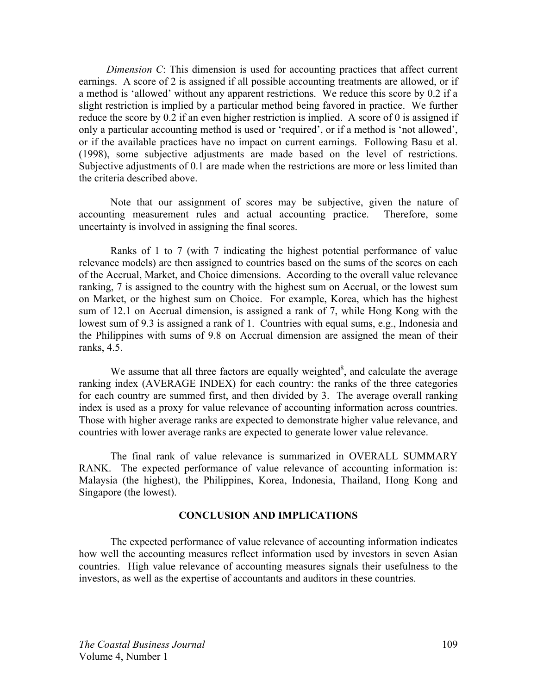*Dimension C*: This dimension is used for accounting practices that affect current earnings. A score of 2 is assigned if all possible accounting treatments are allowed, or if a method is 'allowed' without any apparent restrictions. We reduce this score by 0.2 if a slight restriction is implied by a particular method being favored in practice. We further reduce the score by 0.2 if an even higher restriction is implied. A score of 0 is assigned if only a particular accounting method is used or 'required', or if a method is 'not allowed', or if the available practices have no impact on current earnings. Following Basu et al. (1998), some subjective adjustments are made based on the level of restrictions. Subjective adjustments of 0.1 are made when the restrictions are more or less limited than the criteria described above.

Note that our assignment of scores may be subjective, given the nature of accounting measurement rules and actual accounting practice. Therefore, some uncertainty is involved in assigning the final scores.

 Ranks of 1 to 7 (with 7 indicating the highest potential performance of value relevance models) are then assigned to countries based on the sums of the scores on each of the Accrual, Market, and Choice dimensions. According to the overall value relevance ranking, 7 is assigned to the country with the highest sum on Accrual, or the lowest sum on Market, or the highest sum on Choice. For example, Korea, which has the highest sum of 12.1 on Accrual dimension, is assigned a rank of 7, while Hong Kong with the lowest sum of 9.3 is assigned a rank of 1. Countries with equal sums, e.g., Indonesia and the Philippines with sums of 9.8 on Accrual dimension are assigned the mean of their ranks, 4.5.

We assume that all three factors are equally weighted<sup>8</sup>, and calculate the average ranking index (AVERAGE INDEX) for each country: the ranks of the three categories for each country are summed first, and then divided by 3. The average overall ranking index is used as a proxy for value relevance of accounting information across countries. Those with higher average ranks are expected to demonstrate higher value relevance, and countries with lower average ranks are expected to generate lower value relevance.

The final rank of value relevance is summarized in OVERALL SUMMARY RANK. The expected performance of value relevance of accounting information is: Malaysia (the highest), the Philippines, Korea, Indonesia, Thailand, Hong Kong and Singapore (the lowest).

## **CONCLUSION AND IMPLICATIONS**

 The expected performance of value relevance of accounting information indicates how well the accounting measures reflect information used by investors in seven Asian countries. High value relevance of accounting measures signals their usefulness to the investors, as well as the expertise of accountants and auditors in these countries.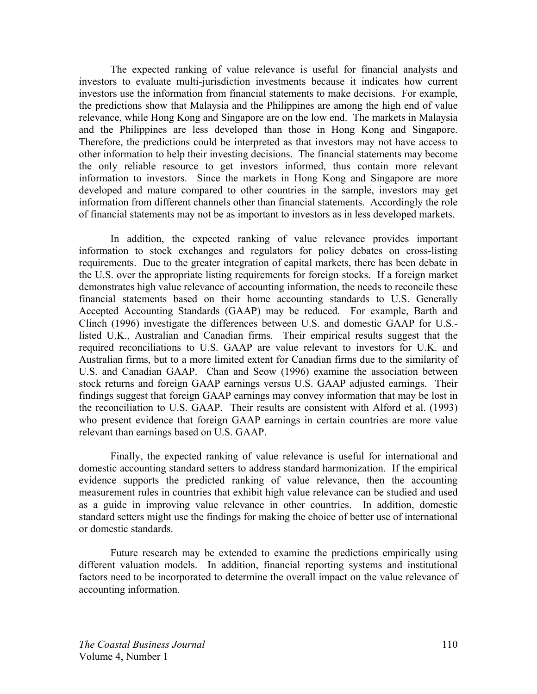The expected ranking of value relevance is useful for financial analysts and investors to evaluate multi-jurisdiction investments because it indicates how current investors use the information from financial statements to make decisions. For example, the predictions show that Malaysia and the Philippines are among the high end of value relevance, while Hong Kong and Singapore are on the low end. The markets in Malaysia and the Philippines are less developed than those in Hong Kong and Singapore. Therefore, the predictions could be interpreted as that investors may not have access to other information to help their investing decisions. The financial statements may become the only reliable resource to get investors informed, thus contain more relevant information to investors. Since the markets in Hong Kong and Singapore are more developed and mature compared to other countries in the sample, investors may get information from different channels other than financial statements. Accordingly the role of financial statements may not be as important to investors as in less developed markets.

 In addition, the expected ranking of value relevance provides important information to stock exchanges and regulators for policy debates on cross-listing requirements. Due to the greater integration of capital markets, there has been debate in the U.S. over the appropriate listing requirements for foreign stocks. If a foreign market demonstrates high value relevance of accounting information, the needs to reconcile these financial statements based on their home accounting standards to U.S. Generally Accepted Accounting Standards (GAAP) may be reduced. For example, Barth and Clinch (1996) investigate the differences between U.S. and domestic GAAP for U.S. listed U.K., Australian and Canadian firms. Their empirical results suggest that the required reconciliations to U.S. GAAP are value relevant to investors for U.K. and Australian firms, but to a more limited extent for Canadian firms due to the similarity of U.S. and Canadian GAAP. Chan and Seow (1996) examine the association between stock returns and foreign GAAP earnings versus U.S. GAAP adjusted earnings. Their findings suggest that foreign GAAP earnings may convey information that may be lost in the reconciliation to U.S. GAAP. Their results are consistent with Alford et al. (1993) who present evidence that foreign GAAP earnings in certain countries are more value relevant than earnings based on U.S. GAAP.

Finally, the expected ranking of value relevance is useful for international and domestic accounting standard setters to address standard harmonization. If the empirical evidence supports the predicted ranking of value relevance, then the accounting measurement rules in countries that exhibit high value relevance can be studied and used as a guide in improving value relevance in other countries. In addition, domestic standard setters might use the findings for making the choice of better use of international or domestic standards.

Future research may be extended to examine the predictions empirically using different valuation models. In addition, financial reporting systems and institutional factors need to be incorporated to determine the overall impact on the value relevance of accounting information.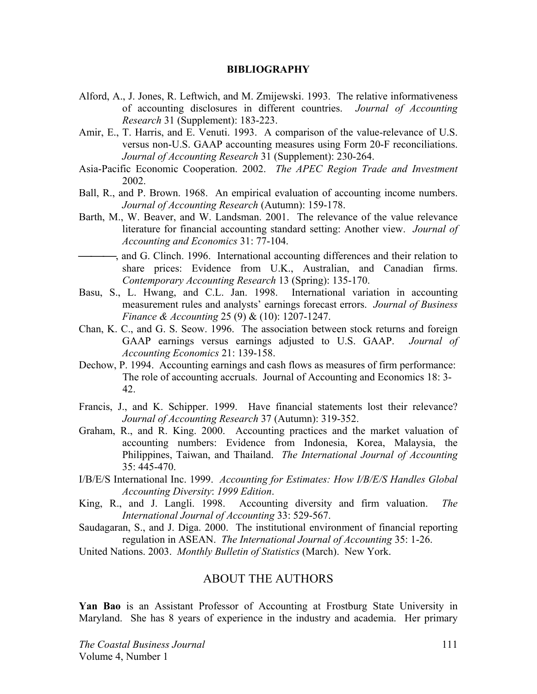#### **BIBLIOGRAPHY**

- Alford, A., J. Jones, R. Leftwich, and M. Zmijewski. 1993. The relative informativeness of accounting disclosures in different countries. *Journal of Accounting Research* 31 (Supplement): 183-223.
- Amir, E., T. Harris, and E. Venuti. 1993. A comparison of the value-relevance of U.S. versus non-U.S. GAAP accounting measures using Form 20-F reconciliations. *Journal of Accounting Research* 31 (Supplement): 230-264.
- Asia-Pacific Economic Cooperation. 2002. *The APEC Region Trade and Investment* 2002.
- Ball, R., and P. Brown. 1968. An empirical evaluation of accounting income numbers. *Journal of Accounting Research* (Autumn): 159-178.
- Barth, M., W. Beaver, and W. Landsman. 2001. The relevance of the value relevance literature for financial accounting standard setting: Another view. *Journal of Accounting and Economics* 31: 77-104.
- , and G. Clinch. 1996. International accounting differences and their relation to share prices: Evidence from U.K., Australian, and Canadian firms. *Contemporary Accounting Research* 13 (Spring): 135-170.
- Basu, S., L. Hwang, and C.L. Jan. 1998. International variation in accounting measurement rules and analysts' earnings forecast errors. *Journal of Business Finance & Accounting* 25 (9) & (10): 1207-1247.
- Chan, K. C., and G. S. Seow. 1996. The association between stock returns and foreign GAAP earnings versus earnings adjusted to U.S. GAAP. *Journal of Accounting Economics* 21: 139-158.
- Dechow, P. 1994. Accounting earnings and cash flows as measures of firm performance: The role of accounting accruals. Journal of Accounting and Economics 18: 3- 42.
- Francis, J., and K. Schipper. 1999. Have financial statements lost their relevance? *Journal of Accounting Research* 37 (Autumn): 319-352.
- Graham, R., and R. King. 2000. Accounting practices and the market valuation of accounting numbers: Evidence from Indonesia, Korea, Malaysia, the Philippines, Taiwan, and Thailand. *The International Journal of Accounting* 35: 445-470.
- I/B/E/S International Inc. 1999. *Accounting for Estimates: How I/B/E/S Handles Global Accounting Diversity*: *1999 Edition*.
- King, R., and J. Langli. 1998. Accounting diversity and firm valuation. *The International Journal of Accounting* 33: 529-567.
- Saudagaran, S., and J. Diga. 2000. The institutional environment of financial reporting regulation in ASEAN. *The International Journal of Accounting* 35: 1-26.

United Nations. 2003. *Monthly Bulletin of Statistics* (March). New York.

# ABOUT THE AUTHORS

**Yan Bao** is an Assistant Professor of Accounting at Frostburg State University in Maryland. She has 8 years of experience in the industry and academia. Her primary